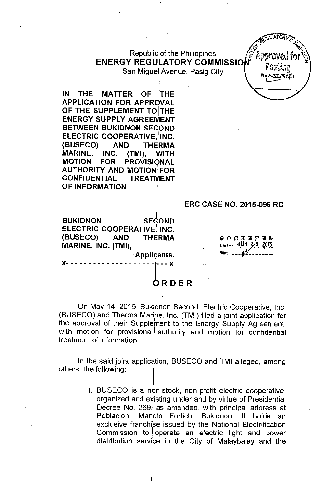### **Republic of the Philippines ENERGY REGULATORY COMMISSIO** San Miguel Avenue, Pasig City

,. ~

TORP COULATION CONTRACTORY

**HEQULATORY** 

**IN THE MATTER OF <sup>I</sup>THE APPLICATION FOR APPROVAL OF THE SUPPLEMENT TOITHE ENERGY SUPPLY AGREEMENT BETWEEN BUKIDNON SECOND ELECTRIC COOPERATIVE, INC. (BUSECO) AND THERMA MARINE, INC. (TMI), WITH MOTION FOR PROVISIONAL AUTHORITY AND MOTION FOR CONFIDENTIAL TREATMENT OF INFORMATION** ,

## **ERC CASE NO. 2015-096 RC**

**BUKIDNON SEdoND ELECTRIC COOPERATIVE: INC. (BUSECO) AND THERMA MARINE, INC. (TMI),** I Applicॄants

**x- - - - - - - - - - - - - - - - - - - - - - -** x

 $900K$  FT I Date: UUN 2-9 2015  $\blacksquare$ 

# **ORDER**

4

On May 14, 2015, Bukidnon Second Electric Cooperative, Inc. (BUSECO) and Therma Marine, Inc. (TMI) filed a joint application for the approval of their Supplement to the Energy Supply Agreement, with motion for provisional authority and motion for confidential treatment of information.

In the said joint application, BUSECO and TMI alleged, among others, the following:

I

1. BUSECO is a non-stock, non-profit electric cooperative, organized and eXisting under and by virtue of Presidential Decree No. 269, as amended, with principal address at Poblacion, Manolo Fortich, Bukidnon. It holds an exclusive franchise issued by the National Electrification Commission to loperate an electric light and power distribution service in the City of Malaybalay and the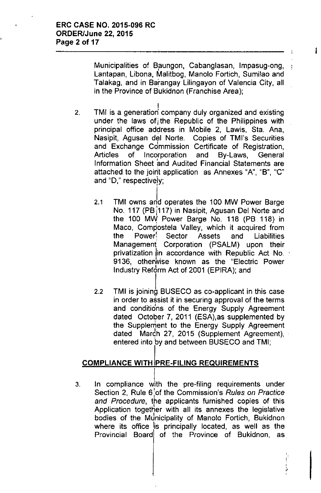Municipalities of Baungon, Cabanglasan, Impasug-ong, , Lantapan, Libona, Malitbog, Manolo Fortich, Sumilao and Talakag, and in Barangay Lilingayon of Valencia City, all in the Province of Bukidnon (Franchise Area);

- 2. I TMI is a generation company duly organized and existing under the laws of the Republic of the Philippines with principal office address in Mobile 2, Lawis, Sta. Ana, Nasipit, Agusan del Norte. Copies of TMl's Securities and Exchange Commission Certificate of Registration, Articles of Incorporation and By-Laws, Genera Information Sheet and Audited Financial Statements are attached to the joint application as Annexes "A", "B", "c" and "D," respectively;
	- I 2.1 TMI owns and operates the 100 MW Power Barge No. 117 (PB 117) in Nasipit, Agusan Del Norte and the 100 MW Power Barge No. 118 (PB 118) in Maco, Compostela Valley, which it acquired from the Power! Sector Assets and Liabilities Management Corporation (PSALM) upon their privatization in accordance with Republic Act No. 9136, otherwise known as the "Electric Power I Industry Reform Act of 2001 (EPIRA); and
	- 2.2 TMI is joining BUSECO as co-applicant in this case in order to assist it in securing approval of the terms and conditions of the Energy Supply Agreement dated October 7, 2011 (ESA),as supplemented by the Supplement to the Energy Supply Agreement I dated March 27, 2015 (Supplement Agreement), . entered into by and between BUSECO and TMI;

# COMPLIANCE WITH PRE-FILING REQUIREMENTS

3. In compliance with the pre-filing requirements under Section 2, Rule 6 :of the Commission's *Rules on Practice and Procedure,* the applicants furnished copies of this Application together with all its annexes the legislative bodies of the Municipality of Manolo Fortich, Bukidnon where its office is principally located, as well as the Provincial Board of the Province of Bukidnon, as.

"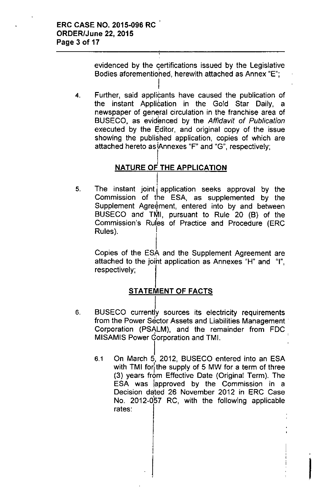evidenced by the certifications issued by the Legislative Bodies aforementioned, herewith attached as Annex "E";

4. Further, said applicants have caused the publication of the instant Application in the Gold Star Daily, a newspaper of general circulation in the franchise area of BUSECO, as evidenced by the *Affidavit* of *Publication* executed by the Editor, and original copy of the issue showing the published application, copies of which are attached hereto as 'Annexes "F" and "G", respectively;

#### NATURE OF THE APPLICATION  $\overline{\mathsf{I}}$

I

5. The instant joint application seeks approval by the Commission of the ESA, as supplemented by the Supplement Agreement, entered into by and between BUSECO and TMI, pursuant to Rule 20  $(B)$  of the Commission's Rules of Practice and Procedure (ERC Rules).

Copies of the ESA and the Supplement Agreement are attached to the joint application as Annexes "H" and "I", respectively;

# **STATEMENT OF FACTS**

- I 6. BUSECO currently sources its electricity requirements from the Power Sector Assets and Liabilities Management. Corporation (PSALM), , and the remainder from FDC MISAMIS Power Gorporation and TMI.
	- $\mathbf{i}$ 6.1 On March 5, 2012, BUSECO entered into an ESA with TMI for the supply of 5 MW for a term of three (3) years from Effective Date (Original Term). The ESA was lapproved by the Commission in a Decision dated 26 November 2012 in ERC Case No. 2012-057 RC, with the following applicable rates: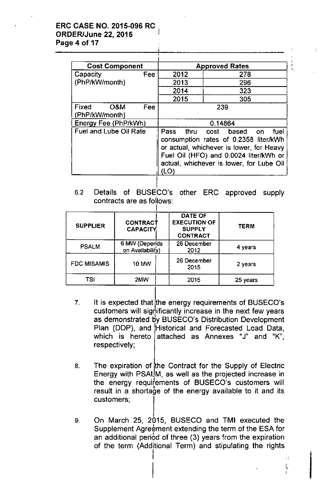### ERC CASE NO. 2015-096 RC ORDER/June 22, 2015 I Page 4 of 17

| <b>Cost Component</b>          |     | <b>Approved Rates</b> |                                                                                                                                                                                                  |  |
|--------------------------------|-----|-----------------------|--------------------------------------------------------------------------------------------------------------------------------------------------------------------------------------------------|--|
| Capacity                       | Fee | 2012                  | 278                                                                                                                                                                                              |  |
| (PhP/kW/month)                 |     | 2013                  | 296                                                                                                                                                                                              |  |
|                                |     | 2014                  | 323                                                                                                                                                                                              |  |
|                                |     | 2015                  | 305                                                                                                                                                                                              |  |
| Fixed<br>O&M<br>(PhP/kW/month) | Fee | 239                   |                                                                                                                                                                                                  |  |
| Energy Fee (PhP/kWh)           |     | 0.14864               |                                                                                                                                                                                                  |  |
| <b>Fuel and Lube Oil Rate</b>  |     | Pass thru<br>(LO)     | cost based on<br>fuel<br>consumption rates of 0.2358 liter/kWh<br>or actual, whichever is lower, for Heavy<br>Fuel Oil (HFO) and 0.0024 liter/kWh or<br>actual, whichever is lower, for Lube Oil |  |
|                                |     |                       |                                                                                                                                                                                                  |  |

,.

 $\vert$ , "

<sup>I</sup> I

6.2 Details of BUSECO's other ERC approved supply contracts are as follows:

| <b>SUPPLIER</b>    | CONTRACT<br><b>CAPACITY</b>       | <b>DATE OF</b><br><b>EXECUTION OF</b><br><b>SUPPLY</b><br><b>CONTRACT</b> | <b>TERM</b> |
|--------------------|-----------------------------------|---------------------------------------------------------------------------|-------------|
| <b>PSALM</b>       | 6 MW (Depends<br>on Availability) | 26 December<br>2012                                                       | 4 years     |
| <b>FDC MISAMIS</b> | <b>10 MW</b>                      | 26 December<br>2015                                                       | 2 years     |
| TSI                | 2MW                               | 2015                                                                      | 25 years    |

- 7. It is expected that the energy requirements of BUSECO's customers will significantly increase in the next few years as demonstrated by BUSECO's Distribution Development Plan (DDP), and Historical and Forecasted Load Data, which is hereto attached as Annexes "J" and "K", respectively;
- 8. The expiration of the Contract for the Supply of Electric Energy with PSAUM, as well as the projected increase in the energy requirements of BUSECO's customers will result in a shortage of the energy available to it and its customers;
- 9. On March 25, 2015, BUSECO and TMI executed the' Supplement Agreement extending the term of the ESA for an additional period of three (3) years from the expiration of the term (Additional Term) and stipulating the rights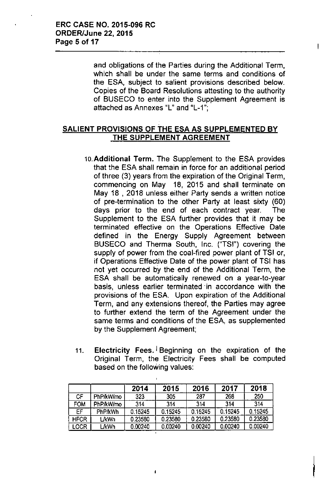and obligations of the Parties during the Additional Term, which shall be under the same terms and conditions of the ESA, subject to salient provisions described below. Copies of the Board Resolutions attesting to the authority of BUSECO to enter into the Supplement Agreement is attached as Annexes "L" and "L-1".,

## SALIENT PROVISIONS OF THE ESA AS SUPPLEMENTED BY THE SUPPLEMENT AGREEMENT

- 10.Additional Term. The Supplement to the ESA provides that the ESA shall remain in force for an additional period of three (3) years from the expiration of the Original Term, commencing on May 18, 2015 and shall terminate on May 18 , 2018 unless either Party sends a written notice of pre-termination to the other Party at least sixty (60) days prior to the end of each contract year. The Supplement to the ESA further provides that it may be terminated effective on the Operations Effective Date defined in the Energy Supply Agreement between BUSECO and Therma South, Inc. ("TSI") covering the supply of power from the coal-fired power plant of TSI or, if Operations Effective Date of the power plant of TSI has not yet occurred by the end of the Additional Term, the ESA shall be automatically renewed on a year-to-year basis, unless earlier terminated in accordance with the provisions of the ESA. Upon expiration of the Additional Term, and any extensions thereof, the Parties may agree to further extend the term of the Agreement under the same terms and conditions of the ESA, as supplemented by the Supplement Agreement;
- 11. Electricity Fees. Beginning on the expiration of the Original Term, the Electricity Fees shall be computed based on the following values:

|             |                | 2014    | 2015    | 2016    | 2017    | 2018    |
|-------------|----------------|---------|---------|---------|---------|---------|
| СF          | PhP/kW/mo      | 323     | 305     | 287     | 268     | 250     |
| <b>FOM</b>  | PhP/kW/mo      | 314     | 314     | 314     | 314     | 314     |
| EF          | <b>PhP/kWh</b> | 0.15245 | 0.15245 | 0.15245 | 0.15245 | 0.15245 |
| <b>HFCR</b> | <b>L/kWh</b>   | 0.23580 | 0.23580 | 0.23580 | 0.23580 | 0.23580 |
| LOCR        | L/kWh          | 0.00240 | 0.00240 | 0.00240 | 0.00240 | 0.00240 |

 $\mathbf{I}$ 

I

 $\mathbf{I}$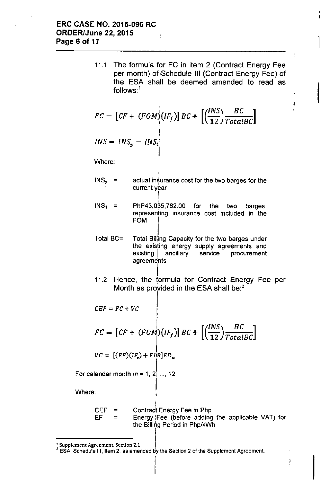11.1 The formula for FC in item 2 (Contract Energy Fee per month) of.Schedule 111(Contract Energy Fee) of the ESA shall be deemed amended to read as  $follows:$ <sup>1</sup>

$$
FC = \left[ CF + (FOM)\left(IF_f\right) \right] BC + \left[ \left( \frac{INS}{12} \right) \frac{BC}{TotalBC} \right]
$$

$$
INS = INS_y - INS_1^{\top}
$$

Where:

- $INS<sub>y</sub>$  = actual insurance cost for the two barges for the current year I
- ;<br>Ի  $INS<sub>1</sub>$  = PhP43,035,782.00 for the two barges. representing insurance cost included in the FOM I
- I Total BC= Total Billing Capacity for the two barges under the existing energy supply agreements and existing | ancillary service procurement agreements
- I 11.2 Hence, the formula for Contract Energy Fee per Month as provided in the ESA shall be: $<sup>2</sup>$ </sup>

$$
CEF = FC + VC
$$
  
\n
$$
FC = [CF + (FOM)(IF_f)] BC + [(\frac{INS}{12}) \frac{BC}{TotalBC}]
$$
  
\n
$$
VC = [(EF)(IF_v) + FI]R]ED_m
$$

For calendar month  $m = 1, 2, \ldots, 12$ 

Where:

 $\mathbf{r}$ Contract Energy Fee In Php Energy:Fee (before adding the applicable VAT) for the Billing Period in PhplkWh  $CEF =$  $EF =$ 

1 Supplement Agreement, Section 2.1

,

I

 $\bar{4}$ 

 $2$  ESA, Schedule III, Item 2, as amended by the Section 2 of the Supplement Agreement.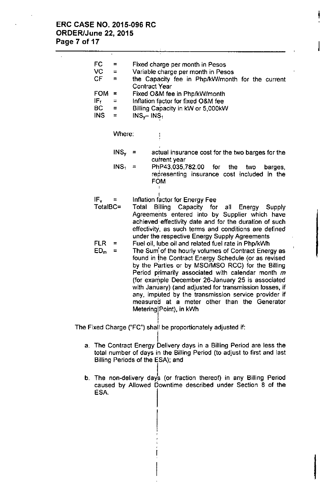$\overline{\phantom{a}}$ 

 $\overline{a}$ 

| FC<br>VC<br><b>CF</b>         | $=$<br>$\equiv$<br>$=$ | Fixed charge per month in Pesos<br>Variable charge per month in Pesos<br>the Capacity fee in Php/kW/month for the current<br><b>Contract Year</b>                                                                                                                                                                                                                                                                                                                                                                                                                                                                                         |                                                                                                                                                                                                |  |  |
|-------------------------------|------------------------|-------------------------------------------------------------------------------------------------------------------------------------------------------------------------------------------------------------------------------------------------------------------------------------------------------------------------------------------------------------------------------------------------------------------------------------------------------------------------------------------------------------------------------------------------------------------------------------------------------------------------------------------|------------------------------------------------------------------------------------------------------------------------------------------------------------------------------------------------|--|--|
| <b>FOM</b>                    | $\equiv$               | Fixed O&M fee in Php/kW/month                                                                                                                                                                                                                                                                                                                                                                                                                                                                                                                                                                                                             |                                                                                                                                                                                                |  |  |
| IF <sub>f</sub><br><b>BC</b>  | $=$<br>=               | Inflation factor for fixed O&M fee                                                                                                                                                                                                                                                                                                                                                                                                                                                                                                                                                                                                        |                                                                                                                                                                                                |  |  |
| <b>INS</b>                    | $=$                    | Billing Capacity in kW or 5,000kW<br>$INS_{y}$ - INS <sub>1</sub>                                                                                                                                                                                                                                                                                                                                                                                                                                                                                                                                                                         |                                                                                                                                                                                                |  |  |
|                               | Where:                 |                                                                                                                                                                                                                                                                                                                                                                                                                                                                                                                                                                                                                                           |                                                                                                                                                                                                |  |  |
|                               | $INS_{\mathsf{v}}$     |                                                                                                                                                                                                                                                                                                                                                                                                                                                                                                                                                                                                                                           | actual insurance cost for the two barges for the<br>current year                                                                                                                               |  |  |
|                               | $INS_1 =$              |                                                                                                                                                                                                                                                                                                                                                                                                                                                                                                                                                                                                                                           | PhP43,035,782.00<br>for the<br>two<br>barges,<br>representing insurance cost included in the<br><b>FOM</b>                                                                                     |  |  |
| $IF_v =$<br>TotalBC=          |                        | Total                                                                                                                                                                                                                                                                                                                                                                                                                                                                                                                                                                                                                                     | Inflation factor for Energy Fee<br>Billing Capacity for<br>all<br>Energy<br>Supply<br>Agreements entered into by Supplier which have<br>achieved effectivity date and for the duration of such |  |  |
| <b>FLR</b><br>ED <sub>m</sub> | ≍<br>Ξ                 | effectivity, as such terms and conditions are defined<br>under the respective Energy Supply Agreements<br>Fuel oil, lube oil and related fuel rate in Php/kWh<br>The Sum of the hourly volumes of Contract Energy as<br>found in the Contract Energy Schedule (or as revised<br>by the Parties or by MSO/MSO RCC) for the Billing<br>Period primarily associated with calendar month m<br>(for example December 26-January 25 is associated<br>with January) (and adjusted for transmission losses, if<br>any, imputed by the transmission service provider if<br>measured at a meter other than the Generator<br>Metering Point), in kWh |                                                                                                                                                                                                |  |  |

!

I

The Fixed Charge ("FC") shall be proportionately adjusted if:

- I a. The Contract Energy Delivery days in a Billing Period are less the total number of days in the Billing Period (to adjust to first and last Billing Periods of the ESA); and
- b. The non-delivery days (or fraction thereof) in any Billing Period caused by Allowed Downtime described under Section 8 of the ESA.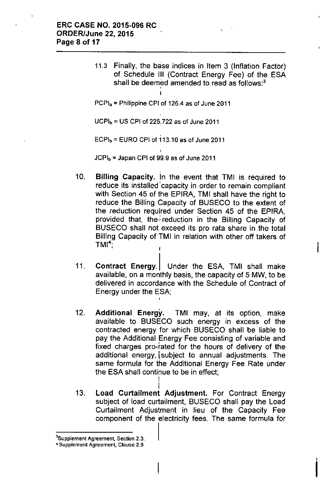11.3 Finally, the base indices in Item 3 (Inflation Factor) of Schedule III (Contract Energy Fee) of the ESA shall be deemed amended to read as follows:<sup>3</sup> ;<br>|

 $PCPI<sub>b</sub>$  = Philippine CPI of 126.4 as of June 2011

 $UCPI<sub>b</sub> = US CPU of 225.722 as of June 2011$ 

 $ECPI<sub>b</sub> = EURO CPI of 113.10 as of June 2011$ 

 $JCPI_b =$  Japan CPI of 99.9 as of June 2011

- 10. Billing Capacity. In the event that TMI is required to reduce its installed 'capacity in order to remain compliant with Section 45 of the EPIRA, TMI shall have the right to reduce the Billing Capacity of BUSECO to the extent of the reduction required under Section 45 of the EPIRA, provided that, the reduction in the Billing Capacity of BUSECO shall not exceed its pro rata share in the total Billing Capacity of TMI in relation with other off takers of  $TMI<sup>4</sup>$
- 11. Contract Energy. Under the ESA, TMI shall make available, on a monthly basis, the capacity of 5 MW, to be delivered in accordance with the Schedule of Contract of Energy under the ESA; ,
- 12. Additional Energy. TMI may, at its option, make available to BUSECO such energy in excess of the contracted energy for which BUSECO shall be liable to pay the Additional Energy Fee consisting of variable and fixed charges pro-rated for the hours of delivery of the additional energy, Isubject to annual adjustments. The same formula for the Additional Energy Fee Rate under the ESA shall continue to be in effect; I
- I 13. Load Curtailment Adjustment. For Contract Energy subject of load curtailment, BUSECO shall pay the Load Curtailment Adjustment in lieu of the Capacity Fee component of the electricity fees. The same formula for

j

,

**<sup>3</sup>Supplement Agreement, Section** 2.3.

**<sup>4</sup> Supplement Agreement, Clause** 2.9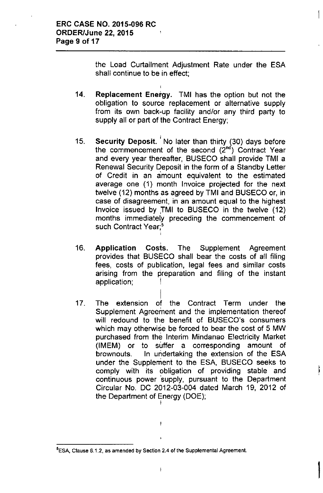the Load Curtailment Adjustment Rate under the ESA shall continue to be in effect;

- 14. Replacement Energy. TMI has the option but not the obligation to source replacement or alternative supply from its own back-up facility and/or any third party to supply all or part of the Contract Energy;
- 15. I **Security Deposit. No later than thirty (30) days before** the commencement of the second  $(2<sup>nd</sup>)$  Contract Year and every year thereafter, BUSECO shall provide TMI a Renewal Security Deposit in the form of a Standby Letter of Credit in an amount equivalent to the estimated average one (1) month Invoice projected for the next twelve (12) months as agreed by TMI and BUSECO or, in case of disagreement, in an amount equal to the highest Invoice issued by ,TMI to BUSECO in the twelve (12) months immediately preceding the commencement of such Contract Year;<sup>5</sup>
- 16. , Application Costs. The Supplement Agreement provides that BUSECO shall bear the costs of all filing fees, costs of publication, legal fees and similar costs arising from the preparation and filing of the instant application;
- 17. I The extension *of* the Contract Term under the Supplement Agreement and the implementation thereof will redound to the benefit of BUSECO's consumers which may otherwise be forced to bear the cost of 5 MW purchased from the Interim Mindanao Electricity Market (IMEM) or to suffer a corresponding amount of brownouts. In undertaking the extension of the ESA under the Supplement to the ESA, BUSECO seeks to comply with its obligation of providing stable and continuous power 'supply, pursuant to the Department Circular No. DC 2012-03-004 dated March 19, 2012 of the Department of Energy (DOE);  $\overline{I}$

J.

|<br>|

**SESA, Clause** 6.1.2, **as amended by Section 2.4 of the Supplemental Agreement.**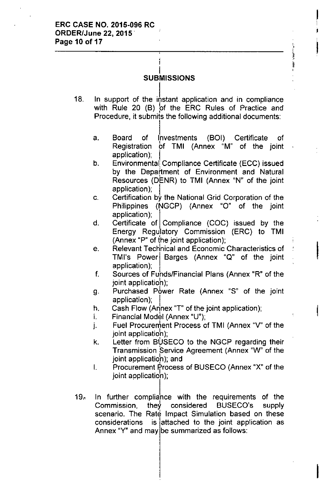#### I SUBMISSIONS

I

- 18. In support of the instant application and in compliance with Rule 20 (B) of the ERC Rules of Practice and Procedure, it submits the following additional documents:
	- a. Board of Investments (BOI) Certificate of Registration bf TMI (Annex "M" of the joint application);

, ,' 'II,. II !!<br>!

 $\mathbf{I}$ I .<br>1

I

I

- b. Environmental Compliance Certificate (ECC) issued by the Department of Environment and Natural Resources (DENR) to TMI (Annex "N" of the joint application);
- c. Certification by the National Grid Corporation of the Philippines (NGCP) (Annex "0" of the joint application);
- d. Certificate of Compliance (COC) issued by the Energy Regu<sup>i</sup>latory Commission (ERC) to TM**I** (Annex "P" of the joint application);
- e. Relevant Technical and Economic Characteristics of TMI's Power Barges (Annex "Q" of the joint application);
- f. Sources of Funds/Financial Plans (Annex "R" of the joint applicatioh);
- g. Purchased Power Rate (Annex "S" of the joint application);
- h. Cash Flow (Annex "T" of the joint application);
- i. Financial Modèl (Annex "U");<br>.
- j. Fuel Procurement Process of TMI (Annex "V" of the joint applicatioh);
- k.  $\;$  Letter from BUSECO to the NGCP regarding their Transmission Service Agreement (Annex "W" of the joint application); and
- $I.$  Procurement Process of BUSECO (Annex "X" of the joint application);
- $19<sub>^\circ</sub>$ In further compliance with the requirements of the  $Commission,$  they considered BUSECO's supply scenario. The Rate Impact Simulation based on these considerations is lattached to the joint application as Annex "Y" and may be summarized as follows: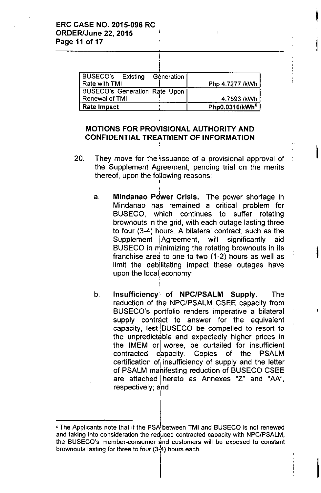| BUSECO's Existing<br>Géneration      |                            |
|--------------------------------------|----------------------------|
| Rate with TMI                        | Php 4.7277 /kWh            |
| <b>BUSECO's Generation Rate Upon</b> |                            |
| <b>Renewal of TMI</b>                | 4.7593 /kWh                |
| <b>Rate Impact</b>                   | Php0.0316/kWh <sup>6</sup> |

I

I

 $\mathbf{\mathbf{i}}$ 

I

### MOTIONS FOR PROVISIONAL AUTHORITY AND CONFIDENTIAL TREATMENT OF INFORMATION ,

- 20. They move for the issuance of a provisional approval of the Supplement Agreement, pending trial on the merits thereof, upon the following reasons: I
	- a. Mindanao Power Crisis. The power shortage in Mindanao has remained a critical problem for BUSECO, which continues to suffer rotating brownouts in the grid, with each outage lasting three<br>by faux (0.4) have a hilateral contract, and as the to four (3-4) hours. A bilateral contract, such as the Supplement IAgreement, will significantly aid BUSECO in minimizing the rotating brownouts in its franchise ared to one to two (1-2) hours as well as limit the debilitating impact these outages have upon the local economy;
	- b. Insufficiency of NPC/PSALM Supply. The reduction of the, NPC/PSALM CSEE capacity from BUSECO's portfolio renders imperative a bilateral supply contract to answer for the equivalent capacity, lest IBUSECO be compelled to resort to the unpredictable and expectedly higher prices in the IMEM orl worse, be curtailed for insufficient contracted capacity. Copies of the PSALM certification of insufficiency of supply and the letter<br>of DRALM makifacting reduction of DUEECO OBEE of PSALM manifesting reduction of BUSECO CSEE are attached I hereto as Annexes "z" and "AA", respectively; and

!<br>!

<sup>,</sup> The Applicants note that if the PSA between TMI and BUSECO is not renewed and taking into consideration the reduced contracted capacity with NPC/PSALM, the BUSECO's member-consumer and customers will be exposed to constant brownouts lasting for three to four  $(3\frac{1}{4})$  hours each.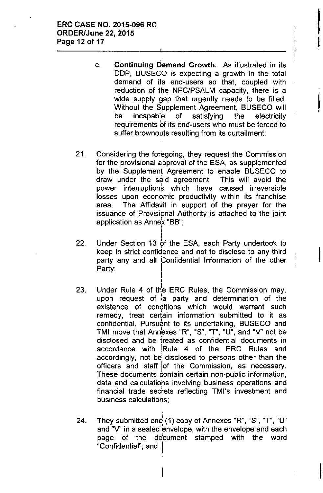c. , Continuing Demand Growth. As illustrated in its DDP, BUSECO is expecting a growth in the total demand of its end-users so that, coupled with reduction of the NPC/PSALM capacity, there is a wide supply gap that urgently needs to be filled. Without the Supplement Agreement, BUSECO will be incapable of satisfying the electricity requirements of its end-users who must be forced to suffer brownouts resulting from its curtailment;

I

i<br>!

I

 $\mathbf{\mathbf{I}}$ 

I

- 21. Considering the foregoing, they request the Commission for the provisional approval of the ESA, as supplemented by the Supplement Agreement to enable BUSECO to draw under the said agreement. This will avoid the power interruptions which have caused irreversible losses upon economic productivity within its franchise area. The Affidavit in support of the prayer for the issuance of Provisional Authority is attached to the joint application as Annex "BB";
- 22. Under Section 13 of the ESA, each Party undertook to keep in strict confidence and not to disclose to any third party any and all Confidential Information of the other Party; I

!

- 23. Under Rule 4 of the ERC Rules, the Commission may, upon request of a party and determination of the existence of conditions which would warrant such remedy, treat certain information submitted to it as confidential. Pursuant to its undertaking, BUSECO and TMI move that Annexes "R", "S", "T", "U", and "V" not be<br>diagtered, and he freshed as confidential desurrents in disclosed and be treated as confidential documents in accordance with IRuie 4 of the ERC Rules and accordingly, not be' disclosed to persons other than the officers and staff lof the Commission, as necessary. These documents contain certain non-public information, data and calculatiohs involving business operations and financial trade secfets reflecting TMI's investment and  $busines$  calculations;
- 24. They submitted one (1) copy of Annexes "R", "S", "T", "U" and "V" in a sealed envelope, with the envelope and each page of the document stamped with the word "Confidential"; and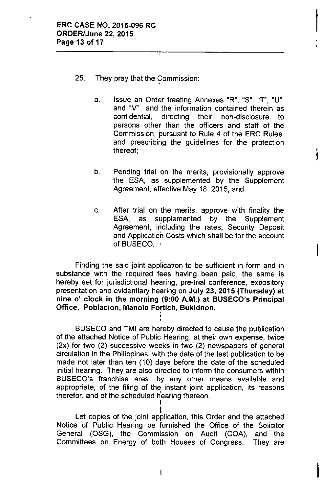- 25. They pray that the Commission
	- a. Issue an Order treating Annexes "R", "S", "T", "U", and "V' and the information contained therein as confidential, directing their non-disclosure to persons other than the officers and staff of the Commission, pursuant to Rule 4 of the ERC Rules, and prescribing the guidelines for the protection  $thereof;$  Interval  $\{$

 $\vert$ 

I

I

- b. Pending trial on the merits, provisionally approve the ESA, as supplemented by the Supplement Agreement, effective May 18, 2015; and
- c. After trial on the merits, approve with finality the ESA, as supplemented by the Supplement Agreement, including the rates, Security Deposit and Application Costs which shall be for the account of BUSECO. i

. Finding the said joint application to be sufficient in form and in substance with the required fees having been paid, the same is hereby set for jurisdictional hearing, pre-trial conference, expository presentation and evidentiary hearing on July 23, 2015 (Thursday) at nine 0' clock in the morning (9:00 A.M.) at BUSECO's Principal Office, Poblacion, Manolo Fortich, Bukidnon.

BUSECO and TMI are hereby directed to cause the publication of the attached Notice of Public Hearing, at their own expense, twice (2x) for two (2) successive weeks in two (2) newspapers of general circulation in the Philippines, with the date of the last publication to be made not later than ten (10) days before the date of the scheduled initial hearing. They are also directed to inform the consumers within BUSECO's franchise area, by any other means available and appropriate, of the filing of the instant joint application, its reasons therefor, and of the scheduled h'earing thereon. I

 $\ddot{\phantom{1}}$ Let copies of the joint application, this Order and the attached Notice of Public Hearing be furnished the Office of the Solicitor General (OSG), the Commission on Audit (COA), and the Committees on Energy of both Houses of Congress. They are

ì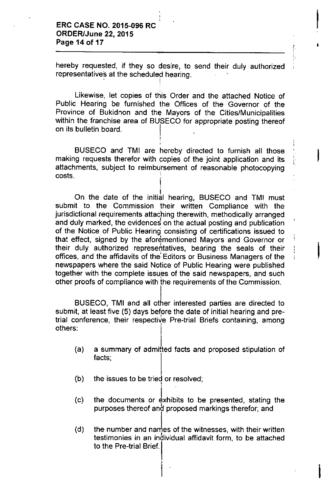hereby requested, if they so desire, to send their duly authorized representatives at the scheduled hearing

I', , 1

I

I

I

I

I

. I

,

;

!

Likewise, let copies of this Order and the attached Notice of Public Hearing be furnished the Offices of the Governor of the Province of Bukidnon and the Mayors of the Cities/Municipalities within the franchise area of BUSECO for appropriate posting thereof on its bulletin board.

BUSECO and TMI are hereby directed to furnish all those making requests therefor with copies of the joint application and its attachments, subject to reimbUrsement of reasonable photocopying costs.

I On the date of the initial hearing, BUSECO and TMI must submit to the Commission their written Compliance with the jurisdictional requirements attaching therewith, methodically arranged and duly marked, the evidences on the actual posting and publication of the Notice of Public Hearing consisting of certifications issued to that effect, signed by the aforementioned Mayors and Governor or their duly authorized representatives, bearing the seals of their offices, and the affidavits of the: Editors or Business Managers of the newspapers where the said Notice of Public Hearing were published together with the complete issues of the said newspapers, and such , other proofs of compliance with the requirements of the Commission.

I BUSECO, TMI and all other interested parties are directed to submit, at least five (5) days before the date of initial hearing and pretrial conference, their respective Pre-trial Briefs containing, among others:

- (a) a summary of admitted facts and proposed stipulation of facts;
- (b) the issues to be tried or resolved
- (c) the documents or exhibits to be presented, stating the purposes thereof and proposed markings therefor; and
- *(d)* the number and names of the witnesses, with their written testimonies in an inbividual affidavit form, to be attached to the Pre-trial Brief.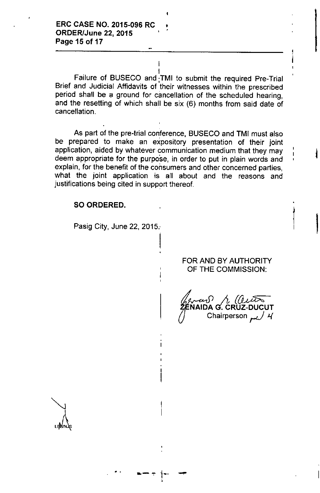I Failure of BUSECO and ;TMI to submit the required Pre-Trial Brief and Judicial Affidavits of their witnesses within the prescribed period shall be a ground for cancellation of the scheduled hearing, and the resetting of which shall be six (6) months from said date of cancellation.

I

,

As part of the pre-trial conference, BUSECO and TMI must also be prepared to make an expository presentation of their joint application, aided by whatever communication medium that they may deem appropriate for the purpose, in order to put in plain words and explain, for the benefit of the consumers and other concerned parties, what the joint application is all about and the reasons and justifications being cited in support thereof.

 $\vert$ 

#### SO ORDERED.

Pasig City, June 22, 2015.

.,

**•. -"'=" i-** -

#### FOR AND BY AUTHORITY OF THE COMMISSION:

|<br>|<br>|

 $\vert$ 

 $\frac{1}{2}$  (ai NAIDA G. CRUZ-DUCU Chairperson *سر / 4*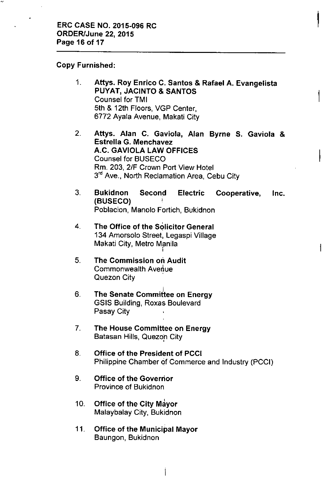### Copy Furnished:

1. Attys. Roy Enrico C. Santos & Rafael A. Evangelista PUYAT, JACINTO & SANTOS Counsel for TMI 5th & 12th Floors, VGP Center, 6772 Ayala Avenue, Makati City

- 2. Attys. Alan C. Gaviola, Alan Byrne S. Gaviola & Estrella G. Menchavez A.C. GAVIOLA LAW OFFICES Counsel for BUSECO Rm. 203, 2/F Crown Port View Hotel 3<sup>rd</sup> Ave., North Reclamation Area, Cebu City
- 3. Bukidnon Second Electric Cooperative, Inc. (BUSECO)  $\,$   $\,$ Poblacion, Manolo Fortich, Bukidnon
- 4. The Office of the Solicitor General 134 Amorsolo Street, Legaspi Village Makati City, Metro Manila<br>'
- 5. The Commission on Audit Commonwealth Avenue Quezon City
- 6. .<br>به: The Senate Committee on Energy GSIS Building, Roxas Boulevard Pasay City
- 7. The House Committee on Energy Batasan Hills, Quezon City ,
- 8. Office of the President of PCCI Philippine Chamber of Commerce and Industry (PCCI)
- 9. Office of the Governor Province of Bukidnon
- 10. **Office of the City Mayor** Malaybalay City, Bukidnon
- 11. Office of the Municipal Mayor Baungon, Bukidnon